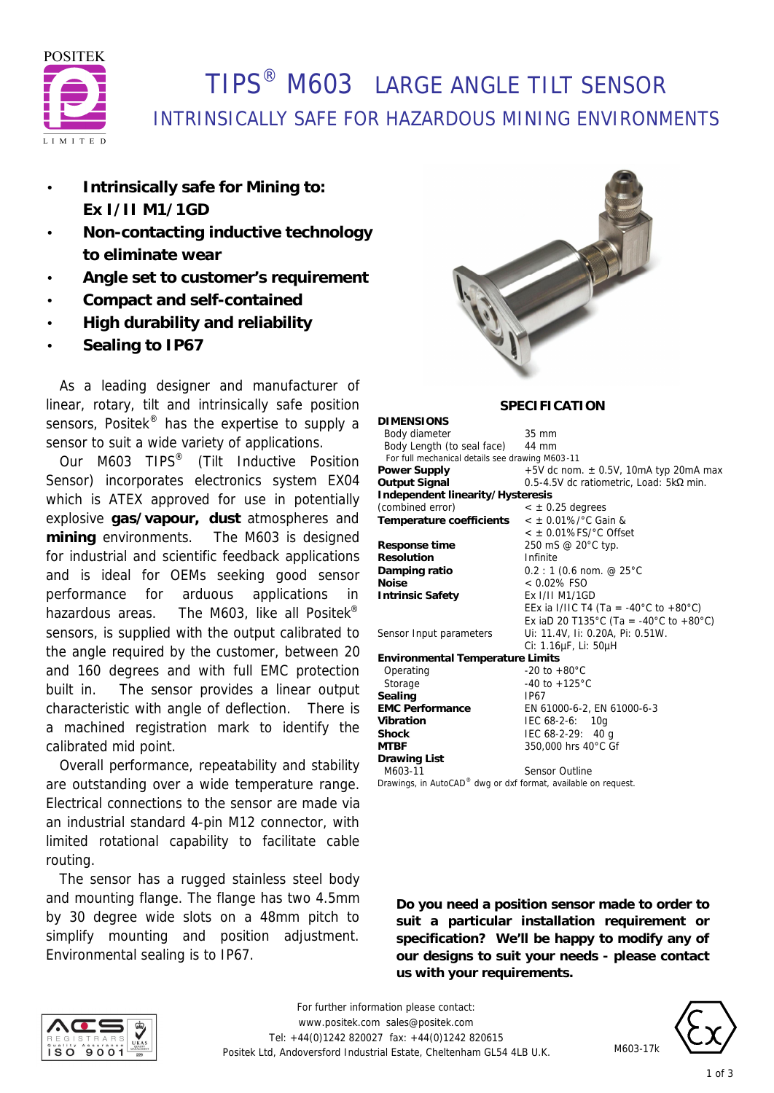

## TIPS® M603 LARGE ANGLE TILT SENSOR INTRINSICALLY SAFE FOR HAZARDOUS MINING ENVIRONMENTS

**DIMENSIONS**

- **Intrinsically safe for Mining to: Ex I/II M1/1GD**
- **Non-contacting inductive technology to eliminate wear**
- **Angle set to customer's requirement**
- **Compact and self-contained**
- **High durability and reliability**
- **Sealing to IP67**

 As a leading designer and manufacturer of linear, rotary, tilt and intrinsically safe position sensors, Positek<sup>®</sup> has the expertise to supply a sensor to suit a wide variety of applications.

 Our M603 TIPS® (Tilt Inductive Position Sensor) incorporates electronics system EX04 which is ATEX approved for use in potentially explosive **gas/vapour, dust** atmospheres and **mining** environments. The M603 is designed for industrial and scientific feedback applications and is ideal for OEMs seeking good sensor performance for arduous applications in hazardous areas. The M603, like all Positek<sup>®</sup> sensors, is supplied with the output calibrated to the angle required by the customer, between 20 and 160 degrees and with full EMC protection built in. The sensor provides a linear output characteristic with angle of deflection. There is a machined registration mark to identify the calibrated mid point.

 Overall performance, repeatability and stability are outstanding over a wide temperature range. Electrical connections to the sensor are made via an industrial standard 4-pin M12 connector, with limited rotational capability to facilitate cable routing.

 The sensor has a rugged stainless steel body and mounting flange. The flange has two 4.5mm by 30 degree wide slots on a 48mm pitch to simplify mounting and position adjustment. Environmental sealing is to IP67.



### **SPECIFICATION**

| DIMENSIONS                                                     |                                                  |  |
|----------------------------------------------------------------|--------------------------------------------------|--|
| Body diameter                                                  | $35 \text{ mm}$                                  |  |
| Body Length (to seal face) 44 mm                               |                                                  |  |
| For full mechanical details see drawing M603-11                |                                                  |  |
| <b>Power Supply</b>                                            | $+5V$ dc nom. $\pm$ 0.5V, 10mA typ 20mA max      |  |
| <b>Output Signal</b>                                           | $0.5-4.5V$ dc ratiometric, Load: $5k\Omega$ min. |  |
| Independent linearity/Hysteresis                               |                                                  |  |
| (combined error)                                               | $<$ $\pm$ 0.25 degrees                           |  |
| Temperature coefficients                                       | $<$ ± 0.01%/°C Gain &                            |  |
|                                                                | $<$ $\pm$ 0.01%FS/ $^{\circ}$ C Offset           |  |
| Response time                                                  | 250 mS @ 20°C typ.                               |  |
| <b>Resolution</b>                                              | Infinite                                         |  |
| Damping ratio                                                  | $0.2:1$ (0.6 nom. @ 25°C                         |  |
| <b>Noise</b>                                                   | $< 0.02\%$ FSO                                   |  |
| <b>Intrinsic Safety</b>                                        | Ex I/II M1/1GD                                   |  |
|                                                                | EEx ia I/IIC T4 (Ta = -40°C to +80°C)            |  |
|                                                                | Ex iaD 20 T135°C (Ta = -40°C to +80°C)           |  |
| Sensor Input parameters                                        | Ui: 11.4V, Ii: 0.20A, Pi: 0.51W.                 |  |
|                                                                | Ci: 1.16µF, Li: 50µH                             |  |
| <b>Environmental Temperature Limits</b>                        |                                                  |  |
| Operating                                                      | $-20$ to $+80^{\circ}$ C                         |  |
| Storage                                                        | $-40$ to $+125^{\circ}$ C                        |  |
| Sealing                                                        | IP67                                             |  |
| <b>EMC Performance</b>                                         | EN 61000-6-2, EN 61000-6-3                       |  |
| Vibration                                                      | IEC 68-2-6: 10g                                  |  |
| <b>Shock</b>                                                   | IEC $68-2-29$ : 40 g                             |  |
| <b>MTBF</b>                                                    | 350,000 hrs 40°C Gf                              |  |
| <b>Drawing List</b>                                            |                                                  |  |
| M603-11                                                        | <b>Sensor Outline</b>                            |  |
| Drawings, in AutoCAD® dwg or dxf format, available on request. |                                                  |  |

**Do you need a position sensor made to order to suit a particular installation requirement or specification? We'll be happy to modify any of our designs to suit your needs - please contact us with your requirements.**





M603-17k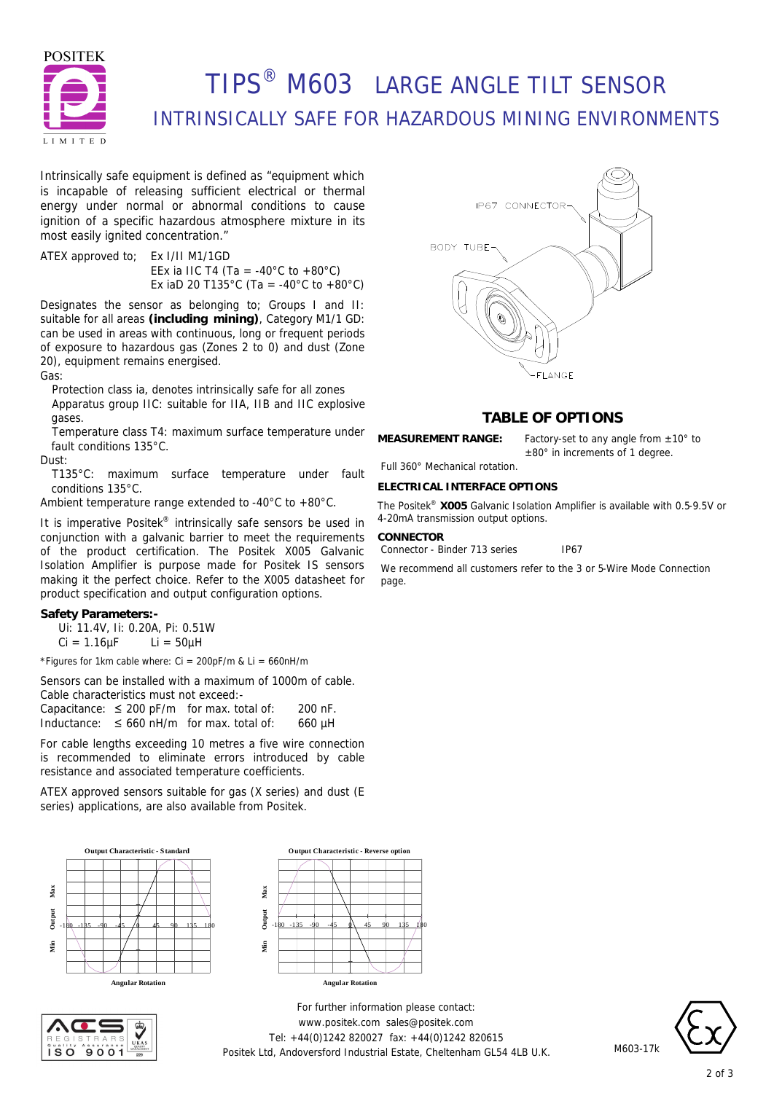

# TIPS® M603 LARGE ANGLE TILT SENSOR INTRINSICALLY SAFE FOR HAZARDOUS MINING ENVIRONMENTS

Intrinsically safe equipment is defined as *"equipment which is incapable of releasing sufficient electrical or thermal energy under normal or abnormal conditions to cause ignition of a specific hazardous atmosphere mixture in its most easily ignited concentration."*

ATEX approved to; Ex I/II M1/1GD EEx ia IIC T4 (Ta = -40 $^{\circ}$ C to +80 $^{\circ}$ C) Ex iaD 20 T135°C (Ta = -40°C to +80°C)

Designates the sensor as belonging to; Groups I and II: suitable for all areas **(including mining)**, Category M1/1 GD: can be used in areas with continuous, long or frequent periods of exposure to hazardous gas (Zones 2 to 0) and dust (Zone 20), equipment remains energised.

Gas:

Protection class ia, denotes intrinsically safe for all zones Apparatus group IIC: suitable for IIA, IIB and IIC explosive gases.

Temperature class T4: maximum surface temperature under fault conditions 135°C.

Dust:

T135°C: maximum surface temperature under fault conditions 135°C.

Ambient temperature range extended to -40°C to +80°C.

It is imperative Positek® intrinsically safe sensors be used in conjunction with a galvanic barrier to meet the requirements of the product certification. The Positek X005 Galvanic Isolation Amplifier is purpose made for Positek IS sensors making it the perfect choice. Refer to the X005 datasheet for product specification and output configuration options.

### **Safety Parameters:-**

Ui: 11.4V, Ii: 0.20A, Pi: 0.51W

 $Ci = 1.16 \mu F$   $Li = 50 \mu H$ 

\*Figures for 1km cable where:  $Ci = 200pF/m$  &  $Li = 660nH/m$ 

Sensors can be installed with a maximum of 1000m of cable. Cable characteristics must not exceed:-

Capacitance:  $\leq 200$  pF/m for max. total of: 200 nF. Inductance:  $\leq 660$  nH/m for max. total of: 660 µH

For cable lengths exceeding 10 metres a five wire connection is recommended to eliminate errors introduced by cable resistance and associated temperature coefficients.

ATEX approved sensors suitable for gas (X series) and dust (E series) applications, are also available from Positek.







*For further information please contact:* www.positek.com sales@positek.com Tel: +44(0)1242 820027 fax: +44(0)1242 820615 Positek Ltd, Andoversford Industrial Estate, Cheltenham GL54 4LB U.K.



## **TABLE OF OPTIONS**

**MEASUREMENT RANGE:** Factory-set to any angle from ±10° to

±80° in increments of 1 degree.

### Full 360° Mechanical rotation. **ELECTRICAL INTERFACE OPTIONS**

The Positek® **X005** Galvanic Isolation Amplifier is available with 0.5-9.5V or 4-20mA transmission output options.

#### **CONNECTOR**

Connector - Binder 713 series IP67

We recommend all customers refer to the 3 or 5-Wire Mode Connection page.



M603-17k